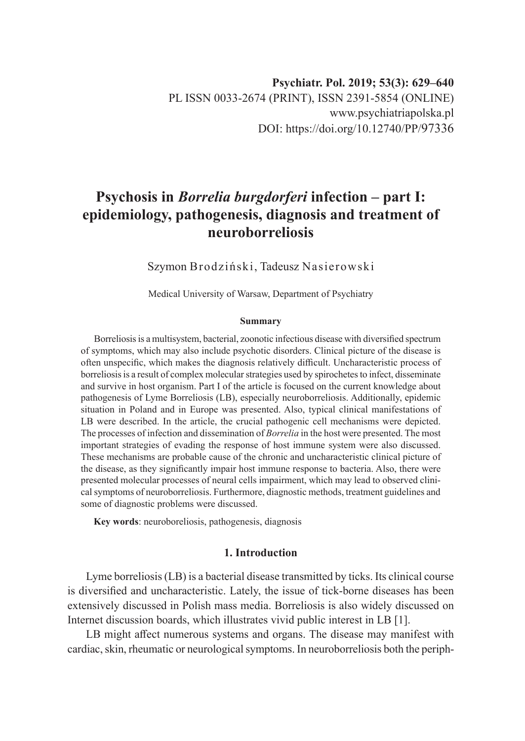# **Psychosis in** *Borrelia burgdorferi* **infection – part I: epidemiology, pathogenesis, diagnosis and treatment of neuroborreliosis**

Szymon Brodziński, Tadeusz Nasierowski

Medical University of Warsaw, Department of Psychiatry

#### **Summary**

Borreliosis is a multisystem, bacterial, zoonotic infectious disease with diversified spectrum of symptoms, which may also include psychotic disorders. Clinical picture of the disease is often unspecific, which makes the diagnosis relatively difficult. Uncharacteristic process of borreliosis is a result of complex molecular strategies used by spirochetes to infect, disseminate and survive in host organism. Part I of the article is focused on the current knowledge about pathogenesis of Lyme Borreliosis (LB), especially neuroborreliosis. Additionally, epidemic situation in Poland and in Europe was presented. Also, typical clinical manifestations of LB were described. In the article, the crucial pathogenic cell mechanisms were depicted. The processes of infection and dissemination of *Borrelia* in the host were presented. The most important strategies of evading the response of host immune system were also discussed. These mechanisms are probable cause of the chronic and uncharacteristic clinical picture of the disease, as they significantly impair host immune response to bacteria. Also, there were presented molecular processes of neural cells impairment, which may lead to observed clinical symptoms of neuroborreliosis. Furthermore, diagnostic methods, treatment guidelines and some of diagnostic problems were discussed.

**Key words**: neuroboreliosis, pathogenesis, diagnosis

# **1. Introduction**

Lyme borreliosis (LB) is a bacterial disease transmitted by ticks. Its clinical course is diversified and uncharacteristic. Lately, the issue of tick-borne diseases has been extensively discussed in Polish mass media. Borreliosis is also widely discussed on Internet discussion boards, which illustrates vivid public interest in LB [1].

LB might affect numerous systems and organs. The disease may manifest with cardiac, skin, rheumatic or neurological symptoms. In neuroborreliosis both the periph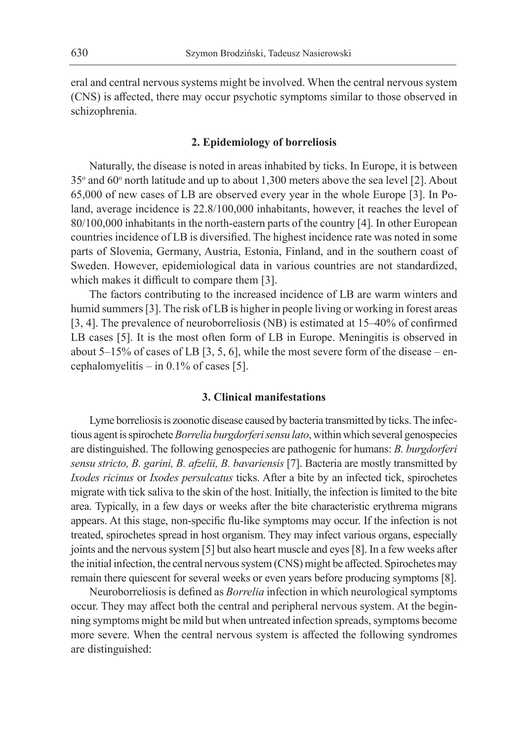eral and central nervous systems might be involved. When the central nervous system (CNS) is affected, there may occur psychotic symptoms similar to those observed in schizophrenia.

# **2. Epidemiology of borreliosis**

Naturally, the disease is noted in areas inhabited by ticks. In Europe, it is between 35° and 60° north latitude and up to about 1,300 meters above the sea level [2]. About 65,000 of new cases of LB are observed every year in the whole Europe [3]. In Poland, average incidence is 22.8/100,000 inhabitants, however, it reaches the level of 80/100,000 inhabitants in the north-eastern parts of the country [4]. In other European countries incidence of LB is diversified. The highest incidence rate was noted in some parts of Slovenia, Germany, Austria, Estonia, Finland, and in the southern coast of Sweden. However, epidemiological data in various countries are not standardized, which makes it difficult to compare them [3].

The factors contributing to the increased incidence of LB are warm winters and humid summers [3]. The risk of LB is higher in people living or working in forest areas [3, 4]. The prevalence of neuroborreliosis (NB) is estimated at 15–40% of confirmed LB cases [5]. It is the most often form of LB in Europe. Meningitis is observed in about 5–15% of cases of LB [3, 5, 6], while the most severe form of the disease – encephalomyelitis – in 0.1% of cases [5].

#### **3. Clinical manifestations**

Lyme borreliosis is zoonotic disease caused by bacteria transmitted by ticks. The infectious agent is spirochete *Borrelia burgdorferi sensu lato*, within which several genospecies are distinguished. The following genospecies are pathogenic for humans: *B. burgdorferi sensu stricto, B. garini, B. afzelii, B. bavariensis* [7]. Bacteria are mostly transmitted by *Ixodes ricinus* or *Ixodes persulcatus* ticks. After a bite by an infected tick, spirochetes migrate with tick saliva to the skin of the host. Initially, the infection is limited to the bite area. Typically, in a few days or weeks after the bite characteristic erythrema migrans appears. At this stage, non-specific flu-like symptoms may occur. If the infection is not treated, spirochetes spread in host organism. They may infect various organs, especially joints and the nervous system [5] but also heart muscle and eyes [8]. In a few weeks after the initial infection, the central nervous system (CNS) might be affected. Spirochetes may remain there quiescent for several weeks or even years before producing symptoms [8].

Neuroborreliosis is defined as *Borrelia* infection in which neurological symptoms occur. They may affect both the central and peripheral nervous system. At the beginning symptoms might be mild but when untreated infection spreads, symptoms become more severe. When the central nervous system is affected the following syndromes are distinguished: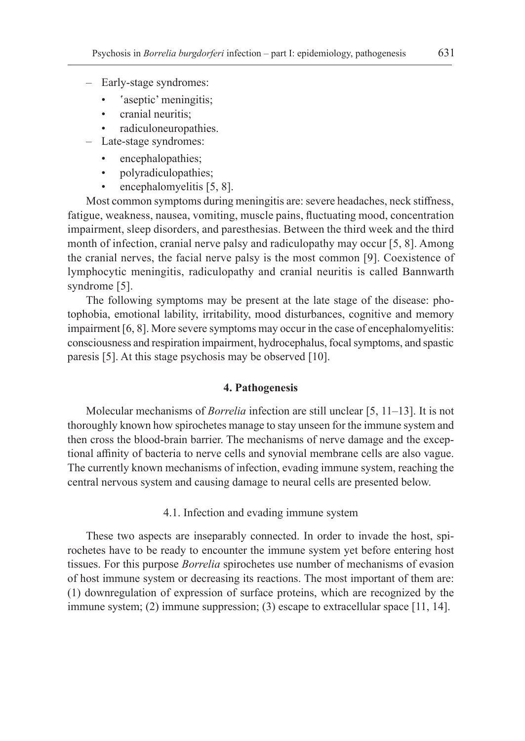- Early-stage syndromes:
	- 'aseptic' meningitis;
	- cranial neuritis;
	- radiculoneuropathies.
- Late-stage syndromes:
	- encephalopathies;
	- polyradiculopathies;
	- encephalomyelitis [5, 8].

Most common symptoms during meningitis are: severe headaches, neck stiffness, fatigue, weakness, nausea, vomiting, muscle pains, fluctuating mood, concentration impairment, sleep disorders, and paresthesias. Between the third week and the third month of infection, cranial nerve palsy and radiculopathy may occur [5, 8]. Among the cranial nerves, the facial nerve palsy is the most common [9]. Coexistence of lymphocytic meningitis, radiculopathy and cranial neuritis is called Bannwarth syndrome [5].

The following symptoms may be present at the late stage of the disease: photophobia, emotional lability, irritability, mood disturbances, cognitive and memory impairment [6, 8]. More severe symptoms may occur in the case of encephalomyelitis: consciousness and respiration impairment, hydrocephalus, focal symptoms, and spastic paresis [5]. At this stage psychosis may be observed [10].

### **4. Pathogenesis**

Molecular mechanisms of *Borrelia* infection are still unclear [5, 11–13]. It is not thoroughly known how spirochetes manage to stay unseen for the immune system and then cross the blood-brain barrier. The mechanisms of nerve damage and the exceptional affinity of bacteria to nerve cells and synovial membrane cells are also vague. The currently known mechanisms of infection, evading immune system, reaching the central nervous system and causing damage to neural cells are presented below.

4.1. Infection and evading immune system

These two aspects are inseparably connected. In order to invade the host, spirochetes have to be ready to encounter the immune system yet before entering host tissues. For this purpose *Borrelia* spirochetes use number of mechanisms of evasion of host immune system or decreasing its reactions. The most important of them are: (1) downregulation of expression of surface proteins, which are recognized by the immune system; (2) immune suppression; (3) escape to extracellular space [11, 14].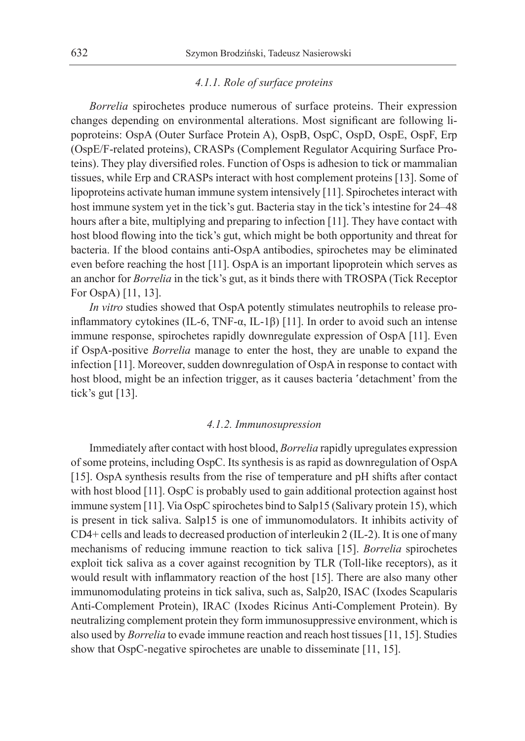# *4.1.1. Role of surface proteins*

*Borrelia* spirochetes produce numerous of surface proteins. Their expression changes depending on environmental alterations. Most significant are following lipoproteins: OspA (Outer Surface Protein A), OspB, OspC, OspD, OspE, OspF, Erp (OspE/F-related proteins), CRASPs (Complement Regulator Acquiring Surface Proteins). They play diversified roles. Function of Osps is adhesion to tick or mammalian tissues, while Erp and CRASPs interact with host complement proteins [13]. Some of lipoproteins activate human immune system intensively [11]. Spirochetes interact with host immune system yet in the tick's gut. Bacteria stay in the tick's intestine for 24–48 hours after a bite, multiplying and preparing to infection [11]. They have contact with host blood flowing into the tick's gut, which might be both opportunity and threat for bacteria. If the blood contains anti-OspA antibodies, spirochetes may be eliminated even before reaching the host [11]. OspA is an important lipoprotein which serves as an anchor for *Borrelia* in the tick's gut, as it binds there with TROSPA (Tick Receptor For OspA) [11, 13].

*In vitro* studies showed that OspA potently stimulates neutrophils to release proinflammatory cytokines (IL-6, TNF-α, IL-1β) [11]. In order to avoid such an intense immune response, spirochetes rapidly downregulate expression of OspA [11]. Even if OspA-positive *Borrelia* manage to enter the host, they are unable to expand the infection [11]. Moreover, sudden downregulation of OspA in response to contact with host blood, might be an infection trigger, as it causes bacteria 'detachment' from the tick's gut [13].

#### *4.1.2. Immunosupression*

Immediately after contact with host blood, *Borrelia* rapidly upregulates expression of some proteins, including OspC. Its synthesis is as rapid as downregulation of OspA [15]. OspA synthesis results from the rise of temperature and pH shifts after contact with host blood [11]. OspC is probably used to gain additional protection against host immune system [11]. Via OspC spirochetes bind to Salp15 (Salivary protein 15), which is present in tick saliva. Salp15 is one of immunomodulators. It inhibits activity of CD4+ cells and leads to decreased production of interleukin 2 (IL-2). It is one of many mechanisms of reducing immune reaction to tick saliva [15]. *Borrelia* spirochetes exploit tick saliva as a cover against recognition by TLR (Toll-like receptors), as it would result with inflammatory reaction of the host [15]. There are also many other immunomodulating proteins in tick saliva, such as, Salp20, ISAC (Ixodes Scapularis Anti-Complement Protein), IRAC (Ixodes Ricinus Anti-Complement Protein). By neutralizing complement protein they form immunosuppressive environment, which is also used by *Borrelia* to evade immune reaction and reach host tissues [11, 15]. Studies show that OspC-negative spirochetes are unable to disseminate [11, 15].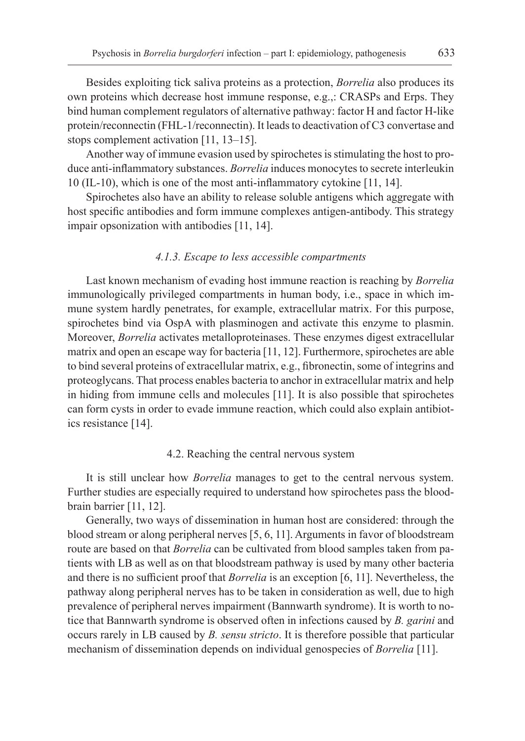Besides exploiting tick saliva proteins as a protection, *Borrelia* also produces its own proteins which decrease host immune response, e.g.,: CRASPs and Erps. They bind human complement regulators of alternative pathway: factor H and factor H-like protein/reconnectin (FHL-1/reconnectin). It leads to deactivation of C3 convertase and stops complement activation [11, 13–15].

Another way of immune evasion used by spirochetes is stimulating the host to produce anti-inflammatory substances. *Borrelia* induces monocytes to secrete interleukin 10 (IL-10), which is one of the most anti-inflammatory cytokine [11, 14].

Spirochetes also have an ability to release soluble antigens which aggregate with host specific antibodies and form immune complexes antigen-antibody. This strategy impair opsonization with antibodies [11, 14].

### *4.1.3. Escape to less accessible compartments*

Last known mechanism of evading host immune reaction is reaching by *Borrelia* immunologically privileged compartments in human body, i.e., space in which immune system hardly penetrates, for example, extracellular matrix. For this purpose, spirochetes bind via OspA with plasminogen and activate this enzyme to plasmin. Moreover, *Borrelia* activates metalloproteinases. These enzymes digest extracellular matrix and open an escape way for bacteria [11, 12]. Furthermore, spirochetes are able to bind several proteins of extracellular matrix, e.g., fibronectin, some of integrins and proteoglycans. That process enables bacteria to anchor in extracellular matrix and help in hiding from immune cells and molecules [11]. It is also possible that spirochetes can form cysts in order to evade immune reaction, which could also explain antibiotics resistance [14].

# 4.2. Reaching the central nervous system

It is still unclear how *Borrelia* manages to get to the central nervous system. Further studies are especially required to understand how spirochetes pass the bloodbrain barrier [11, 12].

Generally, two ways of dissemination in human host are considered: through the blood stream or along peripheral nerves [5, 6, 11]. Arguments in favor of bloodstream route are based on that *Borrelia* can be cultivated from blood samples taken from patients with LB as well as on that bloodstream pathway is used by many other bacteria and there is no sufficient proof that *Borrelia* is an exception [6, 11]. Nevertheless, the pathway along peripheral nerves has to be taken in consideration as well, due to high prevalence of peripheral nerves impairment (Bannwarth syndrome). It is worth to notice that Bannwarth syndrome is observed often in infections caused by *B. garini* and occurs rarely in LB caused by *B. sensu stricto*. It is therefore possible that particular mechanism of dissemination depends on individual genospecies of *Borrelia* [11].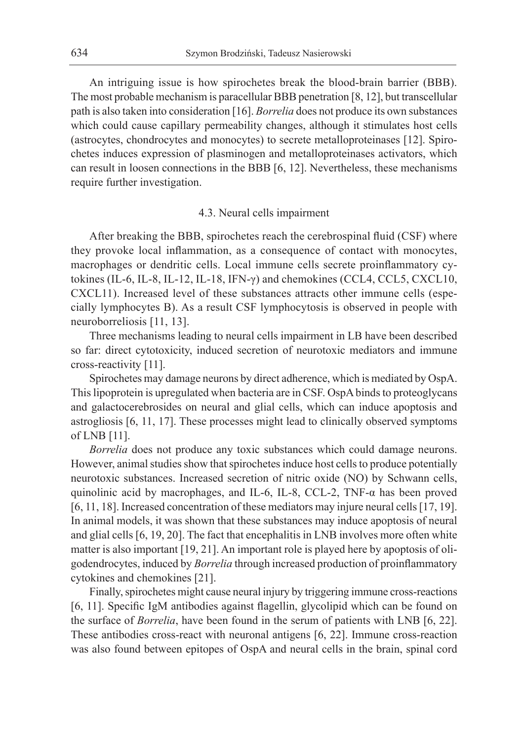An intriguing issue is how spirochetes break the blood-brain barrier (BBB). The most probable mechanism is paracellular BBB penetration [8, 12], but transcellular path is also taken into consideration [16]. *Borrelia* does not produce its own substances which could cause capillary permeability changes, although it stimulates host cells (astrocytes, chondrocytes and monocytes) to secrete metalloproteinases [12]. Spirochetes induces expression of plasminogen and metalloproteinases activators, which can result in loosen connections in the BBB [6, 12]. Nevertheless, these mechanisms require further investigation.

# 4.3. Neural cells impairment

After breaking the BBB, spirochetes reach the cerebrospinal fluid (CSF) where they provoke local inflammation, as a consequence of contact with monocytes, macrophages or dendritic cells. Local immune cells secrete proinflammatory cytokines (IL-6, IL-8, IL-12, IL-18, IFN-γ) and chemokines (CCL4, CCL5, CXCL10, CXCL11). Increased level of these substances attracts other immune cells (especially lymphocytes B). As a result CSF lymphocytosis is observed in people with neuroborreliosis [11, 13].

Three mechanisms leading to neural cells impairment in LB have been described so far: direct cytotoxicity, induced secretion of neurotoxic mediators and immune cross-reactivity [11].

Spirochetes may damage neurons by direct adherence, which is mediated by OspA. This lipoprotein is upregulated when bacteria are in CSF. OspA binds to proteoglycans and galactocerebrosides on neural and glial cells, which can induce apoptosis and astrogliosis [6, 11, 17]. These processes might lead to clinically observed symptoms of LNB [11].

*Borrelia* does not produce any toxic substances which could damage neurons. However, animal studies show that spirochetes induce host cells to produce potentially neurotoxic substances. Increased secretion of nitric oxide (NO) by Schwann cells, quinolinic acid by macrophages, and IL-6, IL-8, CCL-2, TNF-α has been proved [6, 11, 18]. Increased concentration of these mediators may injure neural cells [17, 19]. In animal models, it was shown that these substances may induce apoptosis of neural and glial cells [6, 19, 20]. The fact that encephalitis in LNB involves more often white matter is also important [19, 21]. An important role is played here by apoptosis of oligodendrocytes, induced by *Borrelia* through increased production of proinflammatory cytokines and chemokines [21].

Finally, spirochetes might cause neural injury by triggering immune cross-reactions [6, 11]. Specific IgM antibodies against flagellin, glycolipid which can be found on the surface of *Borrelia*, have been found in the serum of patients with LNB [6, 22]. These antibodies cross-react with neuronal antigens [6, 22]. Immune cross-reaction was also found between epitopes of OspA and neural cells in the brain, spinal cord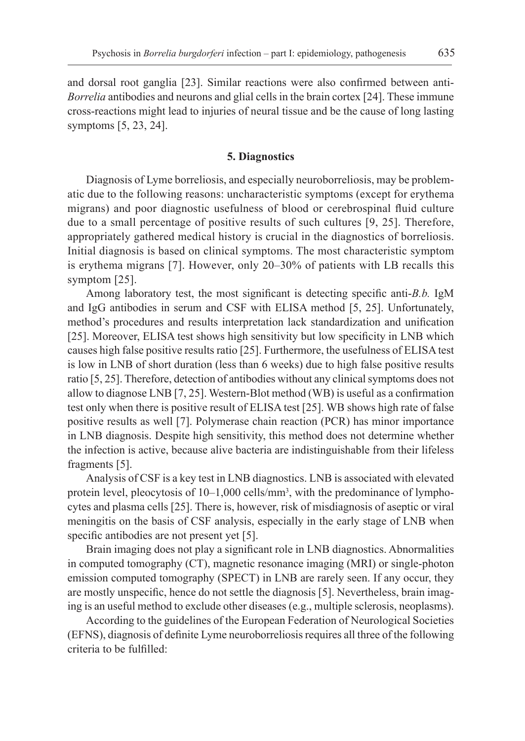and dorsal root ganglia [23]. Similar reactions were also confirmed between anti-*Borrelia* antibodies and neurons and glial cells in the brain cortex [24]. These immune cross-reactions might lead to injuries of neural tissue and be the cause of long lasting symptoms [5, 23, 24].

# **5. Diagnostics**

Diagnosis of Lyme borreliosis, and especially neuroborreliosis, may be problematic due to the following reasons: uncharacteristic symptoms (except for erythema migrans) and poor diagnostic usefulness of blood or cerebrospinal fluid culture due to a small percentage of positive results of such cultures [9, 25]. Therefore, appropriately gathered medical history is crucial in the diagnostics of borreliosis. Initial diagnosis is based on clinical symptoms. The most characteristic symptom is erythema migrans [7]. However, only 20–30% of patients with LB recalls this symptom [25].

Among laboratory test, the most significant is detecting specific anti-*B.b.* IgM and IgG antibodies in serum and CSF with ELISA method [5, 25]. Unfortunately, method's procedures and results interpretation lack standardization and unification [25]. Moreover, ELISA test shows high sensitivity but low specificity in LNB which causes high false positive results ratio [25]. Furthermore, the usefulness of ELISA test is low in LNB of short duration (less than 6 weeks) due to high false positive results ratio [5, 25]. Therefore, detection of antibodies without any clinical symptoms does not allow to diagnose LNB [7, 25]. Western-Blot method (WB) is useful as a confirmation test only when there is positive result of ELISA test [25]. WB shows high rate of false positive results as well [7]. Polymerase chain reaction (PCR) has minor importance in LNB diagnosis. Despite high sensitivity, this method does not determine whether the infection is active, because alive bacteria are indistinguishable from their lifeless fragments [5].

Analysis of CSF is a key test in LNB diagnostics. LNB is associated with elevated protein level, pleocytosis of 10–1,000 cells/mm<sup>3</sup>, with the predominance of lymphocytes and plasma cells [25]. There is, however, risk of misdiagnosis of aseptic or viral meningitis on the basis of CSF analysis, especially in the early stage of LNB when specific antibodies are not present yet [5].

Brain imaging does not play a significant role in LNB diagnostics. Abnormalities in computed tomography (CT), magnetic resonance imaging (MRI) or single-photon emission computed tomography (SPECT) in LNB are rarely seen. If any occur, they are mostly unspecific, hence do not settle the diagnosis [5]. Nevertheless, brain imaging is an useful method to exclude other diseases (e.g., multiple sclerosis, neoplasms).

According to the guidelines of the European Federation of Neurological Societies (EFNS), diagnosis of definite Lyme neuroborreliosis requires all three of the following criteria to be fulfilled: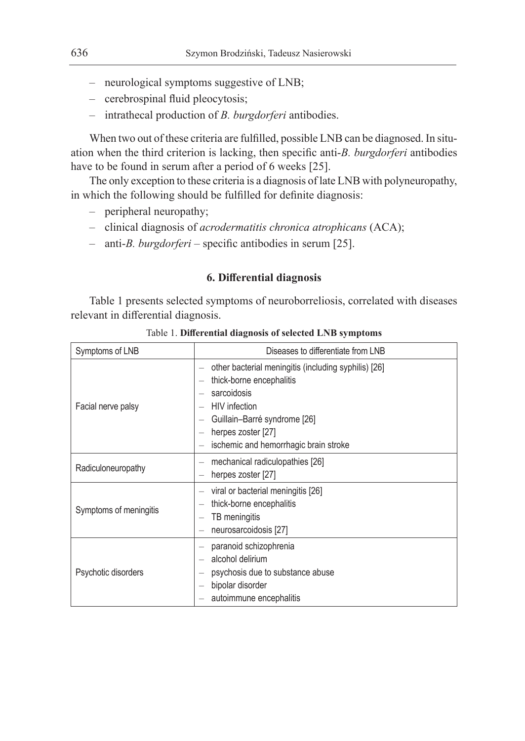- neurological symptoms suggestive of LNB;
- cerebrospinal fluid pleocytosis;
- intrathecal production of *B. burgdorferi* antibodies.

When two out of these criteria are fulfilled, possible LNB can be diagnosed. In situation when the third criterion is lacking, then specific anti-*B. burgdorferi* antibodies have to be found in serum after a period of 6 weeks [25].

The only exception to these criteria is a diagnosis of late LNB with polyneuropathy, in which the following should be fulfilled for definite diagnosis:

- peripheral neuropathy;
- clinical diagnosis of *acrodermatitis chronica atrophicans* (ACA);
- anti-*B. burgdorferi*  specific antibodies in serum [25].

# **6. Differential diagnosis**

Table 1 presents selected symptoms of neuroborreliosis, correlated with diseases relevant in differential diagnosis.

| Symptoms of LNB        | Diseases to differentiate from LNB                                                                                                                                                                                     |  |  |  |
|------------------------|------------------------------------------------------------------------------------------------------------------------------------------------------------------------------------------------------------------------|--|--|--|
| Facial nerve palsy     | other bacterial meningitis (including syphilis) [26]<br>thick-borne encephalitis<br>sarcoidosis<br><b>HIV</b> infection<br>Guillain-Barré syndrome [26]<br>herpes zoster [27]<br>ischemic and hemorrhagic brain stroke |  |  |  |
| Radiculoneuropathy     | mechanical radiculopathies [26]<br>herpes zoster [27]                                                                                                                                                                  |  |  |  |
| Symptoms of meningitis | viral or bacterial meningitis [26]<br>thick-borne encephalitis<br>TB meningitis<br>neurosarcoidosis [27]                                                                                                               |  |  |  |
| Psychotic disorders    | paranoid schizophrenia<br>alcohol delirium<br>psychosis due to substance abuse<br>bipolar disorder<br>autoimmune encephalitis                                                                                          |  |  |  |

Table 1. **Differential diagnosis of selected LNB symptoms**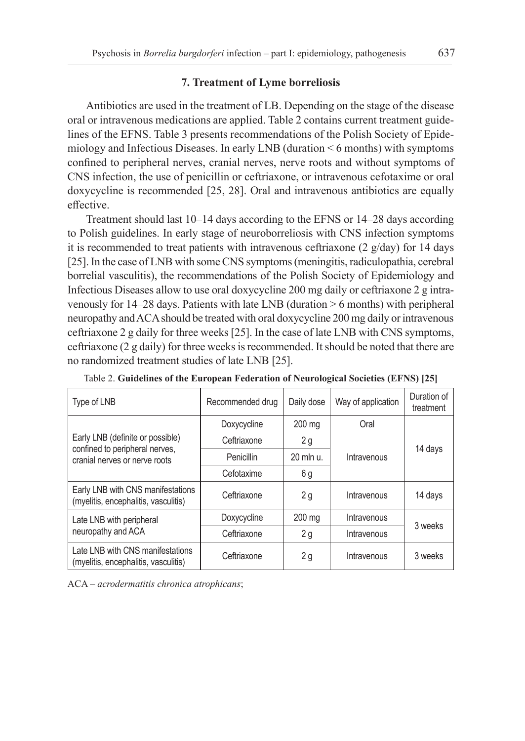# **7. Treatment of Lyme borreliosis**

Antibiotics are used in the treatment of LB. Depending on the stage of the disease oral or intravenous medications are applied. Table 2 contains current treatment guidelines of the EFNS. Table 3 presents recommendations of the Polish Society of Epidemiology and Infectious Diseases. In early LNB (duration < 6 months) with symptoms confined to peripheral nerves, cranial nerves, nerve roots and without symptoms of CNS infection, the use of penicillin or ceftriaxone, or intravenous cefotaxime or oral doxycycline is recommended [25, 28]. Oral and intravenous antibiotics are equally effective.

Treatment should last 10–14 days according to the EFNS or 14–28 days according to Polish guidelines. In early stage of neuroborreliosis with CNS infection symptoms it is recommended to treat patients with intravenous ceftriaxone (2  $g/day$ ) for 14 days [25]. In the case of LNB with some CNS symptoms (meningitis, radiculopathia, cerebral borrelial vasculitis), the recommendations of the Polish Society of Epidemiology and Infectious Diseases allow to use oral doxycycline 200 mg daily or ceftriaxone 2 g intravenously for 14–28 days. Patients with late LNB (duration > 6 months) with peripheral neuropathy and ACA should be treated with oral doxycycline 200 mg daily or intravenous ceftriaxone 2 g daily for three weeks [25]. In the case of late LNB with CNS symptoms, ceftriaxone (2 g daily) for three weeks is recommended. It should be noted that there are no randomized treatment studies of late LNB [25].

| Type of LNB                                                                                         | Recommended drug | Daily dose | Way of application | Duration of<br>treatment |
|-----------------------------------------------------------------------------------------------------|------------------|------------|--------------------|--------------------------|
| Early LNB (definite or possible)<br>confined to peripheral nerves,<br>cranial nerves or nerve roots | Doxycycline      | 200 mg     | Oral               | 14 days                  |
|                                                                                                     | Ceftriaxone      | 2g         | Intravenous        |                          |
|                                                                                                     | Penicillin       | 20 mln u.  |                    |                          |
|                                                                                                     | Cefotaxime       | 6 g        |                    |                          |
| Early LNB with CNS manifestations<br>(myelitis, encephalitis, vasculitis)                           | Ceftriaxone      | 2g         | Intravenous        | 14 days                  |
| Late LNB with peripheral<br>neuropathy and ACA                                                      | Doxycycline      | 200 mg     | Intravenous        | 3 weeks                  |
|                                                                                                     | Ceftriaxone      | 2g         | Intravenous        |                          |
| Late LNB with CNS manifestations<br>(myelitis, encephalitis, vasculitis)                            | Ceftriaxone      | 2g         | Intravenous        | 3 weeks                  |

Table 2. **Guidelines of the European Federation of Neurological Societies (EFNS) [25]**

ACA – *acrodermatitis chronica atrophicans*;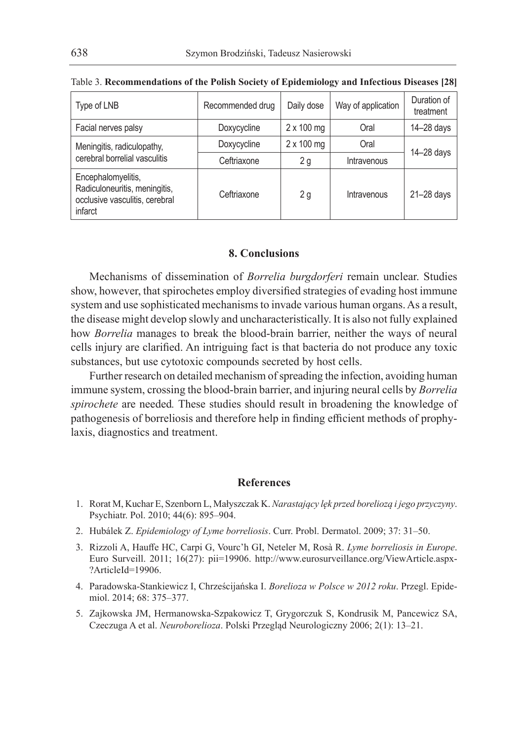| Type of LNB                                                                                      | Recommended drug | Daily dose        | Way of application | Duration of<br>treatment |
|--------------------------------------------------------------------------------------------------|------------------|-------------------|--------------------|--------------------------|
|                                                                                                  |                  |                   |                    |                          |
| Facial nerves palsy                                                                              | Doxycycline      | $2 \times 100$ mg | Oral               | $14 - 28$ days           |
| Meningitis, radiculopathy,<br>cerebral borrelial vasculitis                                      | Doxycycline      | $2 \times 100$ mg | Oral               | $14 - 28$ days           |
|                                                                                                  | Ceftriaxone      | 2g                | Intravenous        |                          |
| Encephalomyelitis,<br>Radiculoneuritis, meningitis,<br>occlusive vasculitis, cerebral<br>infarct | Ceftriaxone      | 2g                | Intravenous        | $21 - 28$ days           |

#### Table 3. **Recommendations of the Polish Society of Epidemiology and Infectious Diseases [28]**

# **8. Conclusions**

Mechanisms of dissemination of *Borrelia burgdorferi* remain unclear. Studies show, however, that spirochetes employ diversified strategies of evading host immune system and use sophisticated mechanisms to invade various human organs. As a result, the disease might develop slowly and uncharacteristically. It is also not fully explained how *Borrelia* manages to break the blood-brain barrier, neither the ways of neural cells injury are clarified. An intriguing fact is that bacteria do not produce any toxic substances, but use cytotoxic compounds secreted by host cells.

Further research on detailed mechanism of spreading the infection, avoiding human immune system, crossing the blood-brain barrier, and injuring neural cells by *Borrelia spirochete* are needed*.* These studies should result in broadening the knowledge of pathogenesis of borreliosis and therefore help in finding efficient methods of prophylaxis, diagnostics and treatment.

# **References**

- 1. Rorat M, Kuchar E, Szenborn L, Małyszczak K. *Narastający lęk przed boreliozą i jego przyczyny*. Psychiatr. Pol. 2010; 44(6): 895–904.
- 2. Hubálek Z. *Epidemiology of Lyme borreliosis*. Curr. Probl. Dermatol. 2009; 37: 31–50.
- 3. Rizzoli A, Hauffe HC, Carpi G, Vourc'h GI, Neteler M, Rosà R. *Lyme borreliosis in Europe*. Euro Surveill. 2011; 16(27): pii=19906. http://www.eurosurveillance.org/ViewArticle.aspx- ?ArticleId=19906.
- 4. Paradowska-Stankiewicz I, Chrześcijańska I. *Borelioza w Polsce w 2012 roku*. Przegl. Epidemiol. 2014; 68: 375–377.
- 5. Zajkowska JM, Hermanowska-Szpakowicz T, Grygorczuk S, Kondrusik M, Pancewicz SA, Czeczuga A et al. *Neuroborelioza*. Polski Przegląd Neurologiczny 2006; 2(1): 13–21.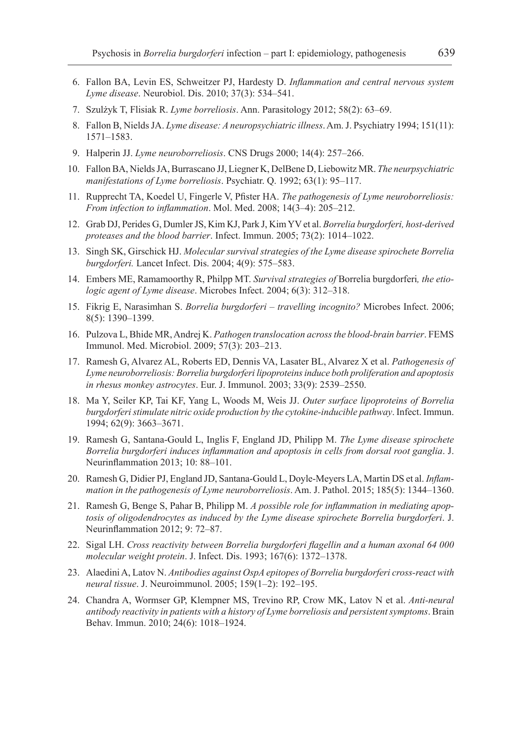- 6. Fallon BA, Levin ES, Schweitzer PJ, Hardesty D. *Inflammation and central nervous system Lyme disease*. Neurobiol. Dis. 2010; 37(3): 534–541.
- 7. Szulżyk T, Flisiak R. *Lyme borreliosis*. Ann. Parasitology 2012; 58(2): 63–69.
- 8. Fallon B, Nields JA. *Lyme disease: A neuropsychiatric illness*. Am. J. Psychiatry 1994; 151(11): 1571–1583.
- 9. Halperin JJ. *Lyme neuroborreliosis*. CNS Drugs 2000; 14(4): 257–266.
- 10. Fallon BA, Nields JA, Burrascano JJ, Liegner K, DelBene D, Liebowitz MR. *The neurpsychiatric manifestations of Lyme borreliosis*. Psychiatr. Q. 1992; 63(1): 95–117.
- 11. Rupprecht TA, Koedel U, Fingerle V, Pfister HA. *The pathogenesis of Lyme neuroborreliosis: From infection to inflammation*. Mol. Med. 2008; 14(3–4): 205–212.
- 12. Grab DJ, Perides G, Dumler JS, Kim KJ, Park J, Kim YV et al. *Borrelia burgdorferi, host-derived proteases and the blood barrier*. Infect. Immun. 2005; 73(2): 1014–1022.
- 13. Singh SK, Girschick HJ. *Molecular survival strategies of the Lyme disease spirochete Borrelia burgdorferi.* Lancet Infect. Dis. 2004; 4(9): 575–583.
- 14. Embers ME, Ramamoorthy R, Philpp MT. *Survival strategies of* Borrelia burgdorferi*, the etiologic agent of Lyme disease*. Microbes Infect. 2004; 6(3): 312–318.
- 15. Fikrig E, Narasimhan S. *Borrelia burgdorferi travelling incognito?* Microbes Infect. 2006; 8(5): 1390–1399.
- 16. Pulzova L, Bhide MR, Andrej K. *Pathogen translocation across the blood-brain barrier*. FEMS Immunol. Med. Microbiol. 2009; 57(3): 203–213.
- 17. Ramesh G, Alvarez AL, Roberts ED, Dennis VA, Lasater BL, Alvarez X et al. *Pathogenesis of Lyme neuroborreliosis: Borrelia burgdorferi lipoproteins induce both proliferation and apoptosis in rhesus monkey astrocytes*. Eur. J. Immunol. 2003; 33(9): 2539–2550.
- 18. Ma Y, Seiler KP, Tai KF, Yang L, Woods M, Weis JJ. *Outer surface lipoproteins of Borrelia burgdorferi stimulate nitric oxide production by the cytokine-inducible pathway*. Infect. Immun. 1994; 62(9): 3663–3671.
- 19. Ramesh G, Santana-Gould L, Inglis F, England JD, Philipp M. *The Lyme disease spirochete Borrelia burgdorferi induces inflammation and apoptosis in cells from dorsal root ganglia*. J. Neurinflammation 2013; 10: 88–101.
- 20. Ramesh G, Didier PJ, England JD, Santana-Gould L, Doyle-Meyers LA, Martin DS et al. *Inflammation in the pathogenesis of Lyme neuroborreliosis*. Am. J. Pathol. 2015; 185(5): 1344–1360.
- 21. Ramesh G, Benge S, Pahar B, Philipp M. *A possible role for inflammation in mediating apoptosis of oligodendrocytes as induced by the Lyme disease spirochete Borrelia burgdorferi*. J. Neurinflammation 2012; 9: 72–87.
- 22. Sigal LH. *Cross reactivity between Borrelia burgdorferi flagellin and a human axonal 64 000 molecular weight protein*. J. Infect. Dis. 1993; 167(6): 1372–1378.
- 23. Alaedini A, Latov N. *Antibodies against OspA epitopes of Borrelia burgdorferi cross-react with neural tissue*. J. Neuroimmunol. 2005; 159(1–2): 192–195.
- 24. Chandra A, Wormser GP, Klempner MS, Trevino RP, Crow MK, Latov N et al. *Anti-neural antibody reactivity in patients with a history of Lyme borreliosis and persistent symptoms*. Brain Behav. Immun. 2010; 24(6): 1018–1924.